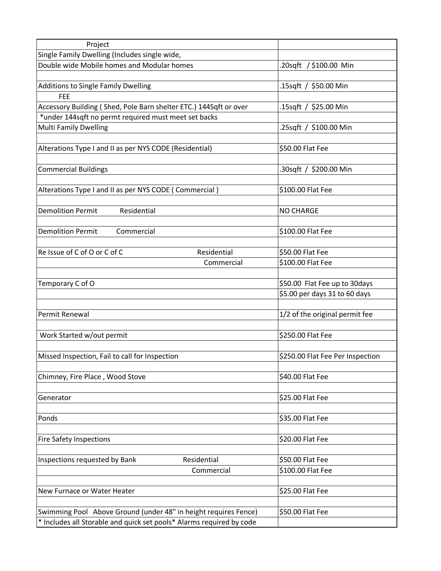| Project                                                              |                                  |
|----------------------------------------------------------------------|----------------------------------|
| Single Family Dwelling (Includes single wide,                        |                                  |
| Double wide Mobile homes and Modular homes                           | .20sqft / \$100.00 Min           |
|                                                                      |                                  |
| <b>Additions to Single Family Dwelling</b>                           | .15sqft / \$50.00 Min            |
| FEE                                                                  |                                  |
| Accessory Building (Shed, Pole Barn shelter ETC.) 144Sqft or over    | .15sqft / \$25.00 Min            |
| *under 144sqft no permt required must meet set backs                 |                                  |
| <b>Multi Family Dwelling</b>                                         | .25sqft / \$100.00 Min           |
|                                                                      |                                  |
| Alterations Type I and II as per NYS CODE (Residential)              | \$50.00 Flat Fee                 |
|                                                                      |                                  |
| <b>Commercial Buildings</b>                                          | .30sqft / \$200.00 Min           |
| Alterations Type I and II as per NYS CODE (Commercial)               | \$100.00 Flat Fee                |
|                                                                      |                                  |
| <b>Demolition Permit</b><br>Residential                              | <b>NO CHARGE</b>                 |
|                                                                      |                                  |
| <b>Demolition Permit</b><br>Commercial                               | \$100.00 Flat Fee                |
| Re Issue of C of O or C of C<br>Residential                          | \$50.00 Flat Fee                 |
|                                                                      | \$100.00 Flat Fee                |
| Commercial                                                           |                                  |
| Temporary C of O                                                     | \$50.00 Flat Fee up to 30days    |
|                                                                      | \$5.00 per days 31 to 60 days    |
|                                                                      |                                  |
| Permit Renewal                                                       | 1/2 of the original permit fee   |
|                                                                      |                                  |
| Work Started w/out permit                                            | \$250.00 Flat Fee                |
|                                                                      |                                  |
| Missed Inspection, Fail to call for Inspection                       | \$250.00 Flat Fee Per Inspection |
|                                                                      |                                  |
| Chimney, Fire Place, Wood Stove                                      | \$40.00 Flat Fee                 |
|                                                                      |                                  |
| Generator                                                            | \$25.00 Flat Fee                 |
|                                                                      |                                  |
| Ponds                                                                | \$35.00 Flat Fee                 |
|                                                                      |                                  |
| <b>Fire Safety Inspections</b>                                       | \$20.00 Flat Fee                 |
|                                                                      |                                  |
| Residential<br>Inspections requested by Bank                         | \$50.00 Flat Fee                 |
| Commercial                                                           | \$100.00 Flat Fee                |
|                                                                      |                                  |
| New Furnace or Water Heater                                          | \$25.00 Flat Fee                 |
|                                                                      |                                  |
| Swimming Pool Above Ground (under 48" in height requires Fence)      | \$50.00 Flat Fee                 |
| * Includes all Storable and quick set pools* Alarms required by code |                                  |